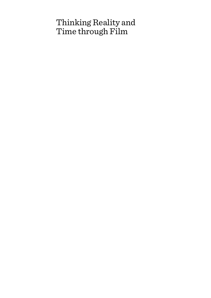## Thinking Reality and Time through Film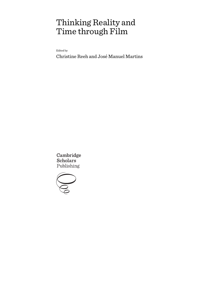# Thinking Reality and Time through Film

Edited by

Christine Reeh and José Manuel Martins

Cambridge **Scholars** Publishing

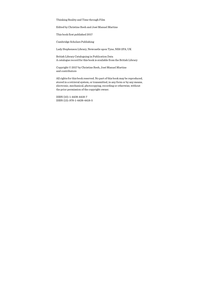Thinking Reality and Time through Film

Edited by Christine Reeh and José Manuel Martins

This book first published 2017

Cambridge Scholars Publishing

Lady Stephenson Library, Newcastle upon Tyne, NE6 2PA, UK

British Library Cataloguing in Publication Data A catalogue record for this book is available from the British Library

Copyright © 2017 by Christine Reeh, José Manuel Martins and contributors

All rights for this book reserved. No part of this book may be reproduced, stored in a retrieval system, or transmitted, in any form or by any means, electronic, mechanical, photocopying, recording or otherwise, without the prior permission of the copyright owner.

ISBN (10): 1-4438-4418-7 ISBN (13): 978-1-4438-4418-5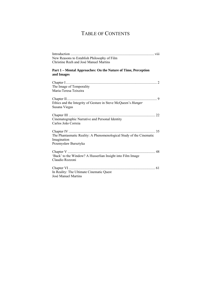### TABLE OF CONTENTS

| New Reasons to Establish Philosophy of Film                         |
|---------------------------------------------------------------------|
| Christine Reeh and José Manuel Martins                              |
|                                                                     |
| Part 1 - Mental Approaches: On the Nature of Time, Perception       |
| and Images                                                          |
|                                                                     |
| The Image of Temporality                                            |
| Maria-Teresa Teixeira                                               |
|                                                                     |
|                                                                     |
| Ethics and the Integrity of Gesture in Steve McQueen's Hunger       |
| Susana Viegas                                                       |
|                                                                     |
|                                                                     |
| Cinematographic Narrative and Personal Identity                     |
| Carlos João Correia                                                 |
|                                                                     |
| The Phantasmatic Reality: A Phenomenological Study of the Cinematic |
| Imagination                                                         |
| Przemysław Bursztyka                                                |
|                                                                     |
|                                                                     |
| 'Back' to the Window? A Husserlian Insight into Film Image          |
| Claudio Rozzoni                                                     |
|                                                                     |
|                                                                     |
| In Reality: The Ultimate Cinematic Quest                            |
| José Manuel Martins                                                 |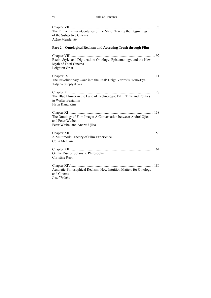#### vi Table of Contents

| The Filmic Century/Centuries of the Mind: Tracing the Beginnings<br>of the Subjective Cinema<br>Atėnė Mendelytė      |
|----------------------------------------------------------------------------------------------------------------------|
| Part 2 - Ontological Realism and Accessing Truth through Film                                                        |
| Bazin, Style, and Digitization: Ontology, Epistemology, and the New<br>Myth of Total Cinema<br>Leighton Grist        |
| The Revolutionary Gaze into the Real: Dziga Vertov's 'Kino-Eye'<br>Tatjana Sheplyakova                               |
| The Blue Flower in the Land of Technology: Film, Time and Politics<br>in Walter Benjamin<br>Hyun Kang Kim            |
| The Ontology of Film Image: A Conversation between Andrei Ujica<br>and Peter Weibel<br>Peter Weibel and Andrei Ujica |
| A Multimodal Theory of Film Experience<br>Colin McGinn                                                               |
| On the Rise of Solaristic Philosophy<br><b>Christine Reeh</b>                                                        |
| Aesthetic-Philosophical Realism: How Intuition Matters for Ontology<br>and Cinema<br>Josef Früchtl                   |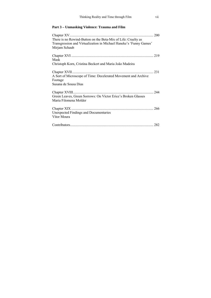#### **Part 3 – Unmasking Violence: Trauma and Film**

| There is no Rewind-Button on the Beta-Mix of Life: Cruelty as<br>Transgression and Virtualization in Michael Haneke's 'Funny Games' |     |
|-------------------------------------------------------------------------------------------------------------------------------------|-----|
| Mirjam Schaub                                                                                                                       |     |
|                                                                                                                                     |     |
| Mask                                                                                                                                |     |
| Christoph Korn, Cristina Beckert and Maria João Madeira                                                                             |     |
|                                                                                                                                     | 231 |
| A Sort of Microscope of Time: Decelerated Movement and Archive                                                                      |     |
| Footage                                                                                                                             |     |
| Susana de Sousa Dias                                                                                                                |     |
|                                                                                                                                     |     |
| Green Leaves, Green Sorrows: On Víctor Erice's Broken Glasses                                                                       |     |
| Maria Filomena Molder                                                                                                               |     |
|                                                                                                                                     |     |
| <b>Unexpected Findings and Documentaries</b>                                                                                        |     |
| Vítor Moura                                                                                                                         |     |
|                                                                                                                                     |     |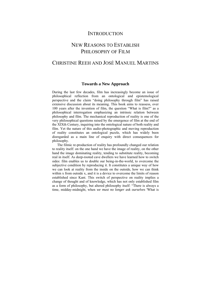#### **INTRODUCTION**

### NEW REASONS TO ESTABLISH PHILOSOPHY OF FILM

### CHRISTINE REEH AND JOSÉ MANUEL MARTINS

#### **Towards a New Approach**

During the last few decades, film has increasingly become an issue of philosophical reflection from an ontological and epistemological perspective and the claim "doing philosophy through film" has raised extensive discussion about its meaning. This book aims to reassess, over 100 years after the invention of film, the question "What is film?" as a philosophical interrogation emphasizing an intrinsic relation between philosophy and film. The mechanical reproduction of reality is one of the very philosophical questions raised by the emergence of film at the end of the XIXth Century, inquiring into the ontological nature of both reality and film. Yet the nature of this audio-photographic and moving reproduction of reality constitutes an ontological puzzle, which has widely been disregarded as a main line of enquiry with direct consequences for philosophy.

The filmic re-production of reality has profoundly changed our relation to reality itself: on the one hand we have the image of reality, on the other hand the image dominating reality, tending to substitute reality, becoming real in itself. As deep-rooted cave dwellers we have learned how to switch sides: film enables us to double our being-in-the-world, to overcome the subjective condition by reproducing it. It constitutes a unique way of how we can look at reality from the inside on the outside, how we can think within x from outside x, and it is a device to overcome the limits of reason established since Kant. This switch of perspective on reality implies a change of thought and of knowledge, which has not only established film as a form of philosophy, but altered philosophy itself: "There is always a time, midday-midnight, when *we must no longer ask ourselves* 'What is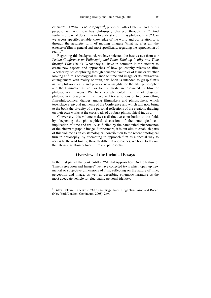*cinema*?' but 'What is *philosophy*?'"1 , proposes Gilles Deleuze, and to this purpose we ask: how has philosophy changed through film? And furthermore, what does it mean to understand film as philosophizing? Can we access specific, reliable knowledge of the world and our relation to it through the aesthetic form of moving images? What is, after all, the essence of film in general and, most specifically, regarding the reproduction of reality?

Regarding this background, we have selected the best essays from our *Lisbon Conference on Philosophy and Film: Thinking Reality and Time through Film* (2014). What they all have in common is the attempt to create new aspects and approaches of how philosophy relates to film. Whether by philosophizing through concrete examples of films or whether looking at film's ontological reliance on time and image, or its intra-active entanglement with reality or truth, this book is intended to grasp film's nature philosophically and provide new insights for the film philosopher and the filmmaker as well as for the freshman fascinated by film for philosophical reasons. We have complemented the list of classical philosophical essays with the reworked transcriptions of two compelling film-philosophical dialogs among filmmakers and philosophers, which took place at pivotal moments of the Conference and which will now bring to the book the vivacity of the personal reflections of the creators, drawing on their own works at the crossroads of a robust philosophical inquiry.

Conversely, this volume makes a distinctive contribution to the field, by deepening the philosophical discussion of the ontological coimplication of time and reality as fuelled by the paradoxical phenomenon of the cinematographic image. Furthermore, it is our aim to establish parts of this volume as an epistemological contribution to the recent ontological turn in philosophy, by attempting to approach film as a special way to access truth. And finally, through different approaches, we hope to lay out the intrinsic relation between film and philosophy.

#### **Overview of the Included Essays**

In the first part of the book entitled "Mental Approaches: On the Nature of Time, Perception and Images" we have collected texts which open up new mental or subjective dimensions of film, reflecting on the nature of time, perception and image, as well as describing cinematic narrative as the most adequate vehicle for elucidating personal identity.

 $\overline{a}$ 

<sup>&</sup>lt;sup>1</sup> Gilles Deleuze, *Cinema 2: The Time-Image*, trans. Hugh Tomlinson and Robert (New York/London: Continuum, 2008), 269.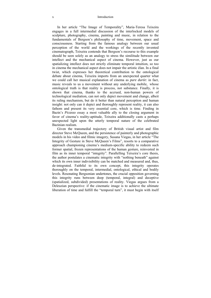#### x Introduction

In her article "The Image of Temporality", Maria-Teresa Teixeira engages in a full intermedial discussion of the interlocked models of sculpture, photography, cinema, painting and music, in relation to the fundamentals of Bergson's philosophy of time, movement, space and consciousness. Starting from the famous analogy between our usual perception of the world and the workings of the recently invented cinematograph, Teixeira contends that Bergson's recourse to this example should be seen solely as an analogy to stress the similitude between our intellect and the mechanical aspect of cinema. However, just as our spatializing intellect does not strictly eliminate temporal intuition, so too in cinema the mechanical aspect does not impair the artistic élan. In a final twist, which expresses her theoretical contribution to the ontological debate about cinema, Teixeira imports from an unexpected quarter what we could call her musical explanation of cinema as *pure durée*: in fact, music reveals to us a movement without any underlying mobile, whose ontological truth is that reality is process, not substance. Finally, it is shown that cinema, thanks to the accrued, non-human powers of technological mediation, can not only depict movement and change, albeit its ruling mechanism, but do it better than natural perception and human insight: not only can it depict and thoroughly represent reality, it can also fathom and present its very essential core, which is time. Finding in Bazin's *Picasso* essay a most valuable ally to the closing argument in favor of cinema's reality-aptitude, Teixeira additionally casts a perhaps unexpected light upon the utterly temporal nature of the celebrated Bazinian realism.

Given the transmedial trajectory of British visual artist and film director Steve McQueen, and the persistence of painterly and photographic models in his video and filmic imagery, Susana Viegas, in her article "The Integrity of Gesture in Steve McQueen's Films", resorts to a comparative approach championing cinema's medium-specific ability to redeem such former spatial, frozen representations of the human gesture, reinvested in film as its inner temporal "integrity". Parallelling Teixeira's core thesis, the author postulates a cinematic integrity with "nothing beneath" against which its own inner indivisibility can be matched and measured and, thus, de-integrated. Faithful to its own concept, this integrity operates thoroughly on the temporal, intermedial, ontological, ethical and bodily levels. Resonating Bergsonian undertones, the crucial opposition governing this integrity runs between deep (temporal, integral) and deceptive (spatialized, subdivided) presentations of reality. Viegas argues from a Deleuzian perspective: if the cinematic image is to achieve the ultimate liberation of time and fulfill the "temporal turn", it must begin with itself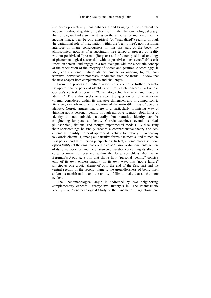and develop creatively, thus enhancing and bringing to the forefront the hidden time-bound quality of reality itself. In the Phenomenological essays that follow, we find a similar stress on the self-creative momentum of the moving image, way beyond empirical (or "spatialized") reality, through the variational role of imagination within the 'reality-free', non-positional interface of image consciousness. In this first part of the book, the philosophical notions of a substratum-free temporal process of reality without positivized "present" (Bergson) and of a non-positional ontology of phenomenological suspension without positivized "existence" (Husserl), "meet on screen" and engage in a rare dialogue with the cinematic concept of the redemption of the integrity of bodies and gestures. Accordingly, in McQueen's cinema, individuals do emerge as ongoing figural, nonnarrative individuation processes, modulated from the inside – a view that the next chapter both complements and challenges.

From the process of individuation we come to a further thematic viewpoint, that of personal identity and film, which concerns Carlos João Correia's central purpose in "Cinematographic Narrative and Personal Identity". The author seeks to answer the question of to what extent cinema, considered within its narrative dimension and in comparison to literature, can advance the elucidation of the main dilemmas of personal identity. Correia argues that there is a particularly promising way of thinking about personal identity through narrative identity. Both kinds of identity do not coincide, naturally, but narrative identity can be enlightening for personal identity. Correia examines several historical, philosophical, fictional and thought-experimental models. By discussing their shortcomings he finally reaches a comprehensive theory and sees cinema as possibly the most appropriate vehicle to embody it. According to Correia cinema is, among all narrative forms, the most suited to mediate first person and third person perspectives. In fact, cinema places selfhood (*ipse-identity*) at the crossroads of the *edited* narrative-fictional enlargement of its self-experience, and the unanswered question concerning its affective core, permanently recurring within the long, speechless *shot*, as in Bergman's *Persona*, a film that shows how "personal identity" consists only of its own endless inquiry. In its own way, this "noble failure" anticipates one crucial theme of both the end of the first part and the central section of the second: namely, the groundlessness of being itself and/or its manifestation, and the ability of film to make that all the more evident.

The Phenomenological angle is addressed by two neighboring, complementary exposés: Przemysław Bursztyka in "The Phantasmatic Reality – A Phenomenological Study of the Cinematic Imagination" and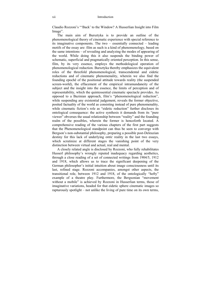Claudio Rozzoni's "'Back' to the Window? A Husserlian Insight into Film Image".

The main aim of Bursztyka is to provide an outline of the phenomenological theory of cinematic experience with special reference to its imaginative components. The two – essentially connected – leading motifs of the essay are: film as such is a kind of phenomenology, based on the same intentions – of revealing and analyzing the modes of appearing of the world. While doing this it also suspends the binding power of schematic, superficial and pragmatically oriented perception. In this sense, film, by its very essence, employs the methodological operation of phenomenological reduction. Bursztyka thereby emphasizes the equivalent roles of the threefold phenomenological, transcendental and eidetic reductions and of cinematic phenomenality, wherein we also find the founding epochê of the positional attitude towards reality (the suspended screen-world), the effacement of the empirical intramundaneity of the subject and the insight into the essence, the limits of perception and of representability, which the quintessential cinematic spectacle provides. As opposed to a Bazinian approach, film's "phenomenological reduction", while suspending any existential judgement, reveals the former objective, posited factuality of the world as consisting instead of pure phenomenality, while cinematic fiction's role as "eidetic reduction" further discloses its ontological consequence: the active synthesis it demands from its "pure viewer" obverses the usual relationship between "reality" and the founding realm of the possibles, wherein the former is henceforth located. A comprehensive reading of the various chapters of the first part suggests that the Phenomenological standpoint can thus be seen to converge with Bergson's non-substantial philosophy, preparing a possible post-Deleuzian destiny for this lack of underlying *ontic* reality in the last two essays, which scrutinize at different stages the vanishing point of the very distinction between virtual and actual, real and mental.

A closely related angle is disclosed by Rozzoni, who fully rehabilitates Husserl philosophy's wrongly reputed inadequacy regarding aesthetics, through a close reading of a set of connected writings from 1904/5, 1912 and 1918, which allows us to trace the significant deepening of the German philosopher's initial intuition about image consciousness until its last, refined stage. Rozzoni accompanies, amongst other aspects, the transitional role, between 1912 and 1918, of the ontologically "hefty" example of a theatre play. Furthermore, the Bergsonian "movement without a mobile" is achieved by Rozzoni in Husserlian terms, those of imaginative variations, headed for that eidetic sphere cinematic images so rapturously spotlight – not unlike the living of pure time on its own terms,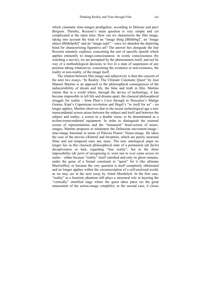which cinematic time-images prodigalize, according to Deleuze and *pace* Bergson. Thereby, Rozzoni's main question is very simple and yet complicated at the same time: How can we characterize the film image, taking into account the triad of an "image thing [*Bildding*]", an "image object [*Bildobjekt*]" and an "image *sujet*" – once we abandon the depicting bond for characterizing figurative art? The answer lies alongside the line Rozzoni minutely explores, concerning the sort of specific epochê which applies eminently to image-consciousness: in iconic consciousness (by watching a movie), we are prompted by the phenomenon itself, and not by way of a methodological decision, to live in a state of suspension of any position taking whatsoever, concerning the existence or non-existence, the reality or non-reality, of the image itself.

The relation between film image and subjectivity is then the concern of the next two essays. "In Reality: The Ultimate Cinematic Quest" by José Manuel Martins is an approach to the philosophical consequences of the indiscernibility of dream and life, the false and truth in film. Martins claims that in a world where, through the device of technology, it has become impossible to tell life and dreams apart, the classical philosophical struggle for reality - from Plato's Cave through to Descartes's Malign Genius, Kant's Copernican revolution and Hegel's "in itself for us" - no longer applies. Martins observes that in the recent technological age a new transcendental screen arises between the subject and itself and between the subject and reality, a screen in a double sense, to be denominated as a *techno-transcendental equipment*. In order to distinguish the external screen of representations and the "immanent" brain-screen of neuroimages, Martins proposes to reinterpret the Deleuzian movement-image / time-image binomial in terms of Patricia Pisters' Neuro-image. He takes the case of the movies *eXistenZ* and *Inception*, which are purely neuronal films and not temporal ones any more. The new ontological *angst* no longer lies in this classical philosophical state of a permanent (*de facto*) deceptiveness or lack, regarding "true reality", but in the sheer impossibility (*de jure*) of recognizing it, were one to ever come across its realm – either because "reality" itself vanished and only its ghost remains, under the guise of a formal constraint to "quest" for it (the ultimate MacGuffin); or because the very question is itself completely obliterated and no longer applies within the circumscription of a self-enclosed world, as we may see in the next essay by Atėnė Mendelytė. In the first case, "reality" as a heuristic phantom still plays a structural role in layering the "vertically" stratified stage where the quest takes place (to the great amusement of the action-image cinephile); in the second case, it closes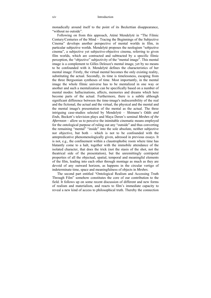monadically around itself to the point of its Beckettian disappearance, "without no outside".

Following on from this approach, Atėnė Mendelytė in "The Filmic Century/Centuries of the Mind – Tracing the Beginnings of the Subjective Cinema" develops another perspective of mental worlds in film, in particular subjective worlds. Mendelytė proposes the neologism "sobjective cinema", a subjective yet subjective-objective cinema, referring to given film worlds, which are contracted and subtracted by a specific filmic perception, the "objective" subjectivity of the "mental image". This mental image is a complement to Gilles Deleuze's mental image, yet by no means to be confounded with it. Mendelytė defines the characteristics of her mental image: Firstly, the virtual mental becomes the only existing reality, substituting the actual. Secondly, its time is timelessness, escaping from the three Bergsonian syntheses of time. Most importantly, in the mental image the whole filmic universe has to be mentalized in one way or another and such a mentalization can be specifically based on a number of mental modes: hallucinations, affects, memories and dreams which here become parts of the actual. Furthermore, there is a subtle although significant difference between the time-image's indiscernibility of the real and the fictional, the actual and the virtual, the physical and the mental and the mental image's presentation of the mental as the actual. The three intriguing case-studies selected by Mendelytė – Shimane's *Odds and Ends*, Beckett's television plays and Maya Deren's seminal *Meshes of the Afternoon* – allow us to perceive the inimitable cinematic means employed for the ontological purpose of ruling out any "outside" and thus converting the remaining "mental" "inside" into the sole absolute, neither subjective nor objective, but both – which is not to be confounded with the antepredicative phenomenologically given, adressed in previous essays. It is not, e.g., the confinement within a claustrophobic room where time has blatantly come to a halt, together with the immobile attendance of the isolated character, that does the trick (not the stasis of the shot, not the theatrical side of the presentation), but the unremittingly centripetal properties of all the objectual, spatial, temporal and meaningful elements of the film, leading into each other through montage as much as they are devoid of any outward horizon, as happens in the circular vertigo of indeterminate time, space and meaningfulness of objects in *Meshes*.

The second part entitled "Ontological Realism and Accessing Truth Through Film" somehow constitutes the core of our contribution to the field. It follows up on some recent discussion of different and new forms of realism and materialism, and reacts to film's immediate capacity to reveal a new kind of access to philosophical truth. Thereby the connection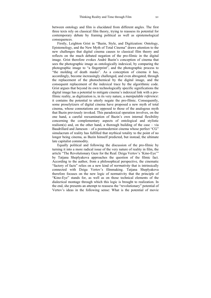between ontology and film is elucidated from different angles. The first three texts rely on classical film theory, trying to reassess its potential for contemporary debate by framing political as well as epistemological consequences.

Firstly, Leighton Grist in "Bazin, Style, and Digitization: Ontology, Epistemology, and the New Myth of Total Cinema" draws attention to the new challenges that digital cinema causes to classical film theory and reflects on the much debated negation of the pro-filmic in the digital image. Grist therefore evokes André Bazin's conception of cinema that sees the photographic image as ontologically indexical, by comparing the photographic image to "a fingerprint", and the photographic process to "the molding of death masks". As a conception of cinema it has, accordingly, become increasingly challenged, and even abrogated, through the replacement of the photochemical by the digital image, and the consequent replacement of the indexical trace by the algorithmic code. Grist argues that beyond its own technologically specific significations the digital image has a potential to mitigate cinema's indexical link with a profilmic reality, as digitization is, in its very nature, a *manipulable reference*: it contains the potential to utterly negate the pro-filmic. Consequently, some proselytizers of digital cinema have proposed a new myth of total cinema, whose connotations are opposed to those of the analogous myth that Bazin previously invoked. This paradoxical operation involves, on the one hand, a careful reexamination of Bazin's own internal flexibility concerning the complementary aspects of ontological and stylistic realism(s) and, on the other hand, a thorough building of the case – via Baudrillard and Jameson – of a postmodernist cinema whose perfect "CG" simulacrum of reality has fulfilled that mythical totality to the point of no longer being cinema, as Bazin himself predicted, but instead, the ultimate late capitalist commodity.

Equally political and following the discussion of the pro-filmic by turning it into a more radical issue of the very nature of reality in film, the article "The Revolutionary Gaze for the Real: Dziga Vertov's 'Kino-Eye'" by Tatjana Sheplyakova approaches the question of the filmic fact. According to the author, from a philosophical perspective, the cinematic "factory of facts" relies on a new kind of *normativity* that is intrinsically connected with Dziga Vertov's filmmaking. Tatjana Sheplyakova therefore focuses on the new logic of normativity that the principle of "Kino-Eye" stands for, as well as on those technical elements of the dialectical montage through which this logic is brought to realization. In the end, she presents an attempt to reassess the "revolutionary" potential of Vertov's ideas in the following sense: What is the potential of movie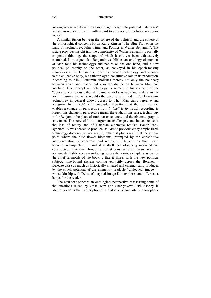making where reality and its assemblage merge into political statements? What can we learn from it with regard to a theory of revolutionary action today?

A similar fusion between the sphere of the political and the sphere of the philosophical concerns Hyun Kang Kim in "The Blue Flower in the Land of Technology: Film, Time, and Politics in Walter Benjamin". The article provides insight into the complexity of Walter Benjamin's partially enigmatic thinking, the scope of which hasn't yet been exhaustively examined. Kim argues that Benjamin establishes an ontology of monism of Man (and his technology) and nature on the one hand, and a new political philosophy on the other, as conveyed in his epoch-making artwork essay. In Benjamin's monistic approach, technology isn't opposed to the collective body, but rather plays a constitutive role in its production. According to Kim, Benjamin abolishes thereby not only the boundary between spirit and matter but also the distinction between Man and machine. His concept of technology is related to his concept of the "optical unconscious": the film camera works as such and makes visible for the human eye what would otherwise remain hidden. For Benjamin, technology in general allows access to what Man can't perceive and recognize by himself. Kim concludes therefore that the film camera enables a change of perspective from *in-itself* to *for-itself*. According to Hegel, this change in perspective means the truth. In this sense, technology is for Benjamin the place of truth par excellence, and the cinematograph is its carrier. The core of Kim's argument challenges, and indeed redeems the loss of reality and of Bazinian cinematic realism Baudrillard's hyperreality was censed to produce, as Grist's previous essay emphasized: technology does not replace reality, rather, it places reality at the crucial point where the blue flower blossoms, prompted by the constitutive interpenetration of apparatus and reality, which only by this means becomes retrospectively manifest as itself technologically mediated and constructed. This time through a realist constructivism thesis, reality's non-substantiality keeps resurfacing across the various chapters as one of the chief leitmotifs of the book, a fate it shares with the new political subject, time-bound (herein coming explicitly across the Bergson – Deleuze axis) as much as historically situated and cinematically produced by the shock potential of the eminently readable "dialectical image" – whose kinship with Deleuze's crystal-image Kim explores and offers as a bonus for the reader.

The next text opposes an ontological perspective reassessing some of the questions raised by Grist, Kim and Sheplyakova. "Philosophy in Media Form" is the transcription of a dialogue of two artist-philosophers,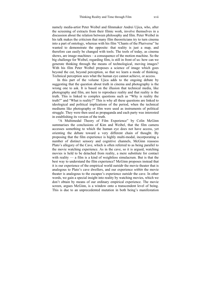namely media-artist Peter Weibel and filmmaker Andrei Ujica, who, after the screening of extracts from their filmic work, involve themselves in a discussion about the relation between philosophy and film. Peter Weibel in his talk makes the criticism that many film theoreticians try to turn cinema into a part of ontology, whereas with his film "Chants of the Pluriverse" he wanted to demonstrate the opposite: that reality is just a map, and therefore can easily be changed with tools. The tools of today, as cinema shows, are image machines – a consequence of the motion machine. So the big challenge for Weibel, regarding film, is still in front of us: how can we generate thinking through the means of technological, moving images? With his film Peter Weibel proposes a science of image which goes beyond the cut, beyond perception, so that we learn a mode of thinking. Technical perception sees what the human eye cannot achieve, or access.

In this part of the volume Ujica adds to the ongoing debate by suggesting that the question about truth in cinema and photography is the wrong one to ask. It is based on the illusion that technical media, like photography and film, are here to reproduce reality and that reality is the truth. This is linked to complex questions such as "Why is reality the truth?" and "What is reality?" This is why all these questions are linked to ideological and political implications of the period, when the technical mediums like photography or film were used as instruments of political struggle. They were then used as propaganda and each party was interested in establishing its version of the truth.

 "A Multimodal Theory of Film Experience" by Colin McGinn summarises the conclusions of Kim and Weibel, that the film camera accesses something to which the human eye does not have access, yet orienting the debate toward a very different chain of thought. By proposing that the film experience is highly multi-modal, incorporating a number of distinct sensory and cognitive channels, McGinn reassess Plato's allegory of the Cave, which is often referred to as being parallel to the movie watching experience. As in the cave, so it is argued, watching movies is held to be detached from reality, a mere substitute for contact with reality — a film is a kind of weightless simulacrum. But is that the best way to understand the film experience? McGinn proposes instead that it is our experience of the empirical world *outside* the movie theater that is analogous to Plato's cave dwellers, and our experience *within* the movie theater is analogous to the escapee's experience *outside* the cave. In other words, we gain a special insight into reality by watching movies, which we don't obtain by means of our ordinary empirical experience. The movie screen, argues McGinn, is a window onto a transcendent level of being. This is due to an unprecedented mutation in both being's manifestation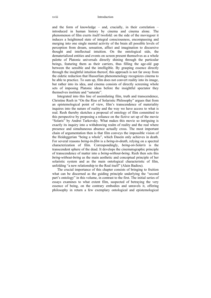#### xviii Introduction

and the form of knowledge – and, crucially, in their correlation – introduced in human history by cinema and cinema alone. The phenomenon of film exerts itself twofold: on the side of the moviegoer it induces a heightened state of integral consciousness, encompassing and merging into one single mental activity of the brain all possible levels of perception from dream, sensation, affect and imagination to discursive thought and intellectual intuition. On the ontological side, the dematerialized entities and events on screen present themselves as a whole palette of Platonic universals directly shining through the particular beings, featuring them as their carriers, thus filling the age-old gap between the sensible and the intelligible. By grasping essence directly through the insightful intuition thereof, this approach is not far away from the eidetic reduction that Husserlian phenomenology recognizes cinema to be able to practice. To sum up, film does not convert reality into its image, but rather into its idea, and cinema consists of directly screening whole sets of imposing Platonic ideas before the insightful spectator they themselves institute and "saturate".

Integrated into this line of assimilating film, truth and transcendence, Christine Reeh in "On the Rise of Solaristic Philosophy" argues that from an epistemological point of view, film's transcendence of materiality inquires into the nature of reality and the way we have access to what is real. Reeh thereby sketches a proposal of ontology of film committed to this perspective by proposing a reliance on the fictive set up of the movie "Solaris" by Andrei Tarkovsky. What makes this movie so intriguing is exactly its inquiry into a withdrawing realm of reality and the real where presence and simultaneous absence actually cross. The most important chain of argumentation then is that film conveys the impossible vision of the Heideggerian "being a whole", which Dasein only achieves in death. For several reasons *being-in-film* is a *being-in-death*, relying on a spectral characterization of film. Correspondingly, *being-on-Solaris* is the transcendent sphere of the dead. It develops the cinematographic principle of transcendence of matter into a *being-without-being*. Reeh then sets this *being-without-being* as the main aesthetic and conceptual principle of her solaristic system and as the main ontological characteristic of film, unfolding "a new relationship to the Real itself" (Alain Badiou).

The crucial importance of this chapter consists of bringing to fruition what can be discerned as the guiding principle underlying the "second part's ontology" in this volume, in contrast to the first. The initial series of essays examines to what extent film, suspected of betraying the very essence of being, on the contrary embodies and unravels it, offering philosophy in return a few exemplary ontological and epistemological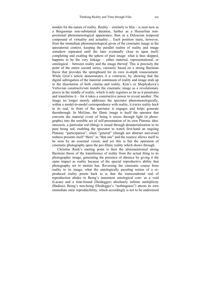models for the nature of reality. Reality – similarly to film – is seen now as a Bergsonian non-substantial duration, further as a Husserlian nonpositional phenomenological appearance, then as a Deleuzian temporal compound of virtuality and actuality… Each position starts, however, from the immediate phenomenological given of the cinematic image in the spectatorial context, keeping the parallel realms of reality and image somehow separated until the later eventually close in upon itself. completing and exalting the sphere of pure image: what is thus skipped, happens to be the very linkage – either material, representational, or ontological – between reality and the image *thereof*. This is precisely the point of the entire second series, variously based on a strong Bazinian thesis that provides the springboard for its own in-depth reassessment. While Grist's article demonstrates it *a contrario*, by showing that the digital subrogation of the material continuum of reality and image ends up in the dissolution of both cinema and reality, Kim's or Sheplyakova's Vertovian constructivism installs the cinematic image as a revolutionary praxis in the middle of reality, which it only registers as far as it penetrates and transforms it – for it takes a constructive power to reveal another. The image no longer merely addresses the spectator phenomenologically, within a model-to-model correspondence with reality, it *traces* reality *back* to its real, in front of the spectator it engages and helps generate therethrough. In McGinn, the filmic image is itself the operator that converts the material event of being it seizes through light (it photographs) into the sensible act of self-presentation of its own Platonic idea: onscreen, a particular red (thing) is raised through dematerialization to its pure being red, enabling the spectator to watch first-hand an ongoing Platonic "participation", when "general" (though not abstract universal) redness presents itself "there" as "that one" and the essence allows itself to be seen by an essential vision; and yet this is but the operation of cinematic photography upon the pro-filmic reality which shows through.

Christine Reeh's starting point is then the aforementioned strong Bazinian thesis of the transference of reality from the actual thing to its photographic image, generating the presence of absence by giving it the same impact as reality because of the special reproductive ability that photography *set in motion* has. Reversing the cinematic course from reality to its image, what the ontologically puzzling notion of a reproduced reality points back to is that the transcendental real of reproduction abides in Being's innermost ontological core: as a void (Lacan) and a time-bound (Heidegger) absolutely infinite multiplicity (Badiou), Being's non-being (Heidegger's "nothingness") attests its own immediate ontic reproducibility, which accordingly is not to be understood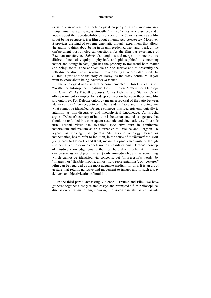as simply an adventitious technological property of a new medium, in a Benjaminian sense. Being is utmostly "film-ic" in its very essence, and a movie about the reproducibility of non-being like *Solaris* shines as a film about being *because* it is a film about cinema, *and conversely*. Moreover, it provides the kind of extreme cinematic thought experiment that allows the author to think about being in an unprecedented way, and to ask all the (im)pertinent post-ontological questions. As the film par excellence of Bazinian transference, *Solaris* also conjoins and merges into one the two different lines of enquiry – physical, and philosophical – concerning matter and being: in fact, light has the property to transcend both matter and being, for it is the one vehicle able to survive and to presentify the self-absence structure upon which film and being alike are established. But all this is just half of the story of Harey, as the essay continues: if you want to know about being, *cherchez la femme*.

The ontological angle is further complemented in Josef Früchtl's text "Aesthetic-Philosophical Realism: How Intuition Matters for Ontology and Cinema". As Früchtl proposes, Gilles Deleuze and Stanley Cavell offer prominent examples for a deep connection between theorizing film and ontology. For Deleuze ontology means a reversal of the ratio between identity and dif¬ference, between what is identifiable and thus being, and what cannot be identified. Deleuze connects this idea epistemologically to intuition as non-discursive and metaphysical knowledge. As Früchtl argues, Deleuze's concept of intuition is better understood as a gesture that should be unfolded in a consequent aesthetic and cinematic way. In a side turn, Früchtl views the so-called speculative turn in continental materialism and realism as an alternative to Deleuze and Bergson. He regards as striking that Quentin Meillassoux' ontology, based on mathematics, has to refer to intuition, in the sense of *intellectual intuition*, going back to Descartes and Kant, meaning a productive unity of thought and being. Yet to draw a conclusion as regards cinema, Bergon's concept of intuitive knowledge remains the most helpful to Früchtl. An intuition can present us an object (in-itself) only immediately, and as something, which cannot be identified via concepts, yet (in Bergson's words) by "images", or "flexible, mobile, almost fluid representations", or "gestures" Film can be regarded as the most adequate medium for this. It is an art of gesture that returns narrative and movement to images and in such a way delivers an objectivization of intuition.

In the third part "Unmasking Violence – Trauma and Film" we have gathered together closely related essays and prompted a film-philosophical discussion of trauma in film, inquiring into violence in film, as well as into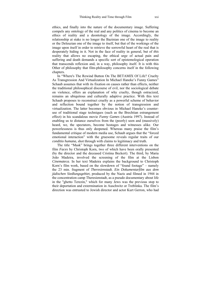ethics, and finally into the nature of the documentary image. Suffering compels any ontology of the real and any politics of cinema to become an ethics of reality and a deontology of the image. Accordingly, the relationship at stake is no longer the Bazinian one of the image to reality or the Deleuzian one of the image to itself, but that of the workings of the image upon itself in order to retrieve the sorrowful heart of the real that is desperately hiding in it. Not in the face of reality in general, but of *this* reality that allows no escaping, the ethical urge of actual pain and suffering and death demands a specific sort of epistemological operation that transcends reflexion and, in a way, philosophy itself. It is with this Other of philosophy that film-philosophy concerns itself in the following chapters.

In "Where's The Rewind Button On The BETAMIX Of Life? Cruelty As Transgression And Virtualization In Michael Haneke's Funny Games" Schaub assumes that with its fixation on causes rather than effects, neither the traditional philosophical discourse of evil, nor the sociological debate on violence, offers an explanation of why cruelty, though ostracized, remains an ubiquitous and culturally adaptive practice. With this text Schaub proposes to reconstruct cruelty as a powerful scheme of behavior and reflection bound together by the notion of transgression and virtualization. The latter becomes obvious in Michael Haneke's counteruse of traditional stage techniques (such as the Brechtian estrangement effect) in his scandalous movie *Funny Games* (Austria 1997). Instead of enabling us to distance ourselves from the (poorly) seen and (massively) heard, we, the spectators, become hostages and witnesses alike. Our powerlessness is thus only deepened. Whereas many praise the film's fundamental critique of modern media use, Schaub argues that the "forced emotional interaction" with the gruesome reveals regular traits of our *conditio humana*, shot through with claims to legitimacy and truth.

The title "Mask" brings together three different interventions on the film *Faces* by Christoph Korn, two of which have been orally presented (by the director and the deceased Cristina Beckert). The third, by Maria João Madeira, involved the screening of the film at the Lisbon *Cinemateca*. In her text Madeira explains the background to Christoph Korn's film work, based on the slowdown of "found footage" – namely the 23 min. fragment of *Theresienstadt. Ein Dokumentarfilm aus dem jüdischen Siedlungsgebiet*, produced by the Nazis and filmed in 1944 in the concentration camp Theresienstadt, as a pseudo documentary about life in the "ghetto Terezin," which for many Jews was the previous stop to their deportation and extermination in Auschwitz or Treblinka. The film's direction was entrusted to Jewish director and actor Kurt Gerron, who had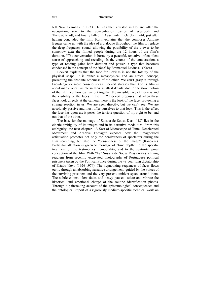#### xxii Introduction

left Nazi Germany in 1933. He was then arrested in Holland after the occupation, sent to the concentration camps of Westbork and Theresienstadt, and finally killed in Auschwitz in October 1944, just after having concluded the film. Korn explains that the composer Antoine Beuger came up with the idea of a dialogue throughout the film to replace the deep frequency sound, allowing the possibility of the viewer to be somehow *with* the filmed people during the 12 hours of the film's duration. "The conversation is borne by a peaceful, tentative, often silent sense of approaching and receding. In the course of the conversation, a type of reading gains both duration and power, a type that becomes condensed in the concept of the 'face' by Emmanuel Levinas." (Korn)

Beckert explains that the face for Levinas is not the totality of the physical shape. It is rather a metaphysical and an ethical concept, presenting the absolute otherness of the other. We can't grasp it through knowledge or mere consciousness. Beckert stresses that Korn's film is about many faces, visible in their smallest details, due to the slow motion of the film. Yet how can we put together the invisible face of Levinas and the visibility of the faces in the film? Beckert proposes that when these faces look directly at the camera, there is the look of the face, provoking a strange reaction in us. We are seen directly, but we can't see. We are absolutely passive and must offer ourselves to that look. This is the effect the face has upon us: it poses the terrible question of my right to be, and not that of the other.

The base for the montage of Susana de Sousa Dias' "48" lies in the cinetic ambiguity of its images and in its narrative modalities. From this ambiguity, the next chapter, "A Sort of Microscope of Time: Decelerated Movement and Archive Footage" exposes how the image-word articulation promotes not only the pensiveness of spectators during the film screening, but also the "pensiveness of the image" (Rancière). Particular attention is given to montage of "time depth", to the specific treatment of the testimonies' temporality, and to the spatio-temporal conception of the film. With "48" Susana de Sousa Dias creates a living requiem from recently excavated photographs of Portuguese political prisoners taken by the Political Police during the 48 year long dictatorship of Estado Novo (1926-1974). The hypnotizing sequences of faces flows eerily through an absorbing narrative arrangement, guided by the voices of the surviving prisoners and the very present ambient space around them. The subtle zooms, slow fades and heavy pauses isolate and vibrate the historical and emotional charge of the routine identification photos. Through a painstaking account of the epistemological consequences and the ontological import of a rigorously medium-specific technical work on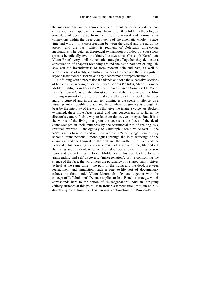the material, the author shows how a different historical episteme and ethical-political approach stems from the threefold methodological procedure of opening up from the inside non-causal and non-narrative connexions within the three constituents of the cinematic whole – space, time and word – in a crossbreeding between the visual and the aural, the present and the past, which is redolent of Deleuzian time-crystal meditations. The detailed theoretical explanation provided by Sousa Dias spreads beneficially over the kindred essays about Christoph Korn's and Víctor Erice's very similar cinematic strategies. Together they delineate a constellation of chapters revolving around the same paradox or anguish: how can the inventiveness of form redeem pain and past, as well as retrieve a sense of reality and history that does the dead and the living justice, beyond institutional discourse and any clichéd mode of representation?

Unfolding with a processional cadence and tone the successive sections of her sensitive reading of Víctor Erice's *Vidros Partidos*, Maria Filomena Molder highlights in her essay "Green Leaves, Green Sorrows: On Víctor Erice's Broken Glasses" the almost confidential thematic web of the film, attuning resonant chords to the final constellation of this book. The huge mural picture of and in the canteen dominates the scene in silence, as a visual phantom doubling place and time, whose poignancy is brought to bear by the interplay of the words that give the image a voice. As Beckert explained, these mute faces regard. and thus concern us, in so far as the director's camera finds a way to let them do so, eyes in eyes. But, if it is the words of the living that grant the access to the faces of the dead, acknowledged in their muteness by the testimonial rite of reciting as a spiritual exercise – analogously to Christoph Korn's voice-over –, the *word* is in its turn bestowed on these words by "mortifying" them, as they become "trans-personal" monologues through the joint workings of the characters and the filmmaker, the oral and the written, the lived and the fictional. This doubling – and crisscross – of space and time, life and art, the living and the dead, relies on the riskier operation of tripling person, actor and character. With Erice, Molder calls this act, leading to selftranscending and self-discovery, "miscegenation". While confronting the silence of the face, the word faces the poignancy of a shared pain it strives to heal at the same time – the pain of the living and the dead. Between reenactment and simulation, such a *truer*-to-life sort of documentary echoes the final model Víctor Moura also favours, together with the concept of "effabulation" Deleuze applies to Jean Rouch's strategy, which corresponds here to the notion of "miscegenation". And an intriguing affinity surfaces at this point: Jean Rouch's famous title "Moi, un noir" is directly quoted from the less known continuation of Rimbaud's text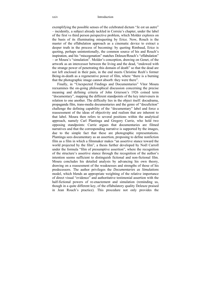exemplifying the possible senses of the celebrated dictum "Je est un autre" – incidently, a subject already tackled in Correia's chapter, under the label of the first vs third person perspective problem, which Molder explores on the basis of its illuminating misquoting by Erice. Now, Rouch is the master of the effabulation approach as a cinematic device to extract a deeper truth in the process of becoming: by quoting Rimbaud, Erice is quoting, perhaps unintentionally, the common source of his and Rouch's inspiration, and his "miscegenation" matches Deleuze/Rouch's "effabulation" – or Moura's "simulation". Molder's conception, drawing on Genet, of the artwork as an intercessor between the living and the dead, "endowed with the strange power of penetrating this domain of death" so that the dead are not left enclosed in their pain, in the end meets Christine Reeh's former Being-in-death as a regenerative power of film, where "there is a burning that the photographic image cannot absorb: they were there".

Finally, in "Unexpected Findings and Documentaries" Vítor Moura reexamines the on-going philosophical discussion concerning the precise meaning and defining criteria of John Grierson's 1926 coined term "documentary", mapping the different standpoints of the key interveners in relation to one another. The difficulty lies in the object itself: docudrama, propaganda film, trans-media documentaries and the genre of "docufiction" challenge the defining capability of the "documentary" label and force a reassessment of the ideas of objectivity and realism that are inherent to that label. Moura then refers to several positions within the analytical approach, namely Carl Plantinga and Gregory Currie, who hold two opposing standpoints: Currie argues that documentaries are filmed narratives and that the corresponding narrative is supported by the images, due to the simple fact that these are photographic representations. Plantinga sees documentary as an assertion, proposing to define nonfiction film as a film in which a filmmaker makes "an assertive stance toward the world projected by the film", a thesis further developed by Noël Carroll under the formula "film of presumptive assertion", where the recognition of the structure's assertive stance through the recognition of the author's intention seems sufficient to distinguish fictional and non-fictional film. Moura concludes his detailed analysis by advancing his own theory, drawing on a reassesment of the weaknesses and strengths of those of his predecessors. The author privileges the *Documentaries as Simulations*  model, which blends an appropriate weighting of the relative importance of direct visual "evidence" and authoritative testimonial assertion with the half-fictional powers of re-enactement and simulation (reminding us, though in a quite different key, of the effabulatory quality Deleuze praised in Jean Rouch's practice). This procedure not only provides the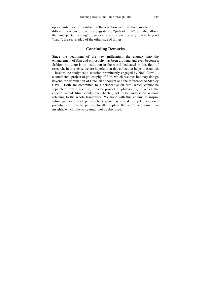opportunity for a constant self-correction and mutual mediation of different versions of events alongside the "path of truth", but also allows the "unexpected finding" to supervene and to disruptively reveal, beyond "truth", the secret play of the other side of things.

#### **Concluding Remarks**

Since the beginning of the new millennium the enquiry into the entanglement of film and philosophy has been growing and even become a fashion, but there is no institution in the world dedicated to this field of research. In this sense we are hopeful that this collection helps to establish – besides the analytical discussion prominently engaged by Noël Carroll a continental project of philosophy of film, which resumes but may also go beyond the domination of Deleuzian thought and the references to Stanley Cavell. Both are committed to a perspective on film, which cannot be separated from a specific, broader project of philosophy, in which the concern about film is only one chapter, not to be understood without referring to the whole framework. We hope with this volume to inspire future generations of philosophers who may reveal the yet unexplored potential of films to philosophically explain the world and raise new insights, which otherwise might not be disclosed.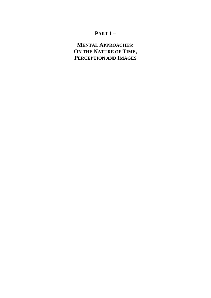### **PART 1 –**

### **MENTAL APPROACHES: ON THE NATURE OF TIME, PERCEPTION AND IMAGES**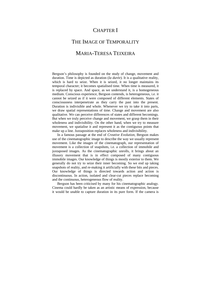### CHAPTER I

# THE IMAGE OF TEMPORALITY

### MARIA-TERESA TEIXEIRA

Bergson's philosophy is founded on the study of change, movement and duration. Time is depicted as duration (*la durée*). It is a qualitative reality, which is hard to seize. When it is seized, it no longer maintains its temporal character; it becomes spatialised time. When time is measured, it is replaced by space. And space, as we understand it, is a homogeneous medium. Conscious experience, Bergson contends, is heterogeneous, i.e. it cannot be seized as if it were composed of different elements. States of consciousness interpenetrate as they carry the past into the present. Duration is indivisible and whole. Whenever we try to take it into parts, we draw spatial representations of time. Change and movement are also qualitative. We can perceive differences of states and different becomings. But when we truly perceive change and movement, we grasp them in their wholeness and indivisibility. On the other hand, when we try to measure movement, we spatialise it and represent it as the contiguous points that make up a line. Juxtaposition replaces wholeness and indivisibility.

In a famous passage at the end of *Creative Evolution*, Bergson makes use of the cinematographic image to describe the way we usually represent movement. Like the images of the cinematograph, our representation of movement is a collection of snapshots, i.e. a collection of immobile and juxtaposed images. As the cinematographic unrolls, it brings about an illusory movement that is in effect composed of many contiguous immobile images. Our knowledge of things is mostly exterior to them. We generally do not try to seize their inner becoming. So we end up taking snapshots of reality, and re-making it artificially with these bits and pieces. Our knowledge of things is directed towards action and action is discontinuous. In action, isolated and clear-cut pieces replace becoming and the continuous, heterogeneous flow of reality.

Bergson has been criticised by many for his cinematographic analogy. Cinema could hardly be taken as an artistic means of expression, because it would be unable to capture duration in its pure form. If the camera is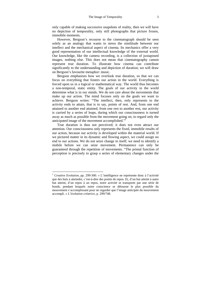only capable of making successive snapshots of reality, then we will have no depiction of temporality, only still photographs that picture frozen, immobile moments.

However, Bergson's recourse to the cinematograph should be seen solely as an analogy that wants to stress the similitude between our intellect and the mechanical aspect of cinema. Its mechanics offer a very good representation of our intellectual knowledge of the external world. Our knowledge, like the camera recording, is a collection of juxtaposed images, nothing else. This does not mean that cinematography cannot represent true duration. To illustrate how cinema can contribute significantly to the understanding and depiction of duration, we will draw on Bergson's favourite metaphor: music.

Bergson emphasises how we overlook true duration, so that we can focus on everything that fosters our action in the world. Everything is forced upon us in a logical or mathematical way. The world thus becomes a non-temporal, static entity. The goals of our activity in the world determine what is in our minds. We do not care about the movements that make up our action. The mind focuses only on the goals we want to achieve. Bergson writes: "The intellect, then, only represents to the activity ends to attain, that is to say, points of rest. And, from one end attained to another end attained, from one rest to another rest, our activity is carried by a series of leaps, during which our consciousness is turned away as much as possible from the movement going on, to regard only the anticipated image of the movement accomplished."<sup>1</sup>

True duration is thus not perceived; it does not even attract our attention. Our consciousness only represents the fixed, immobile results of our action, because our activity is developed within the material world. If we pictured matter in its dynamic and flowing aspect, we could assign no end to our actions. We do not seize change in itself; we need to identify a mobile before we can seize movement. Permanence can only be guaranteed through the repetition of movements. "The primal function of perception is precisely to grasp a series of elementary changes under the

<sup>1</sup> *Creative Evolution,* pp. 299-300. « L'intelligence ne représente donc à l'activité que des buts à atteindre, c'est-à-dire des points de repos. Et, d'un but atteint à autre but atteint, d'un repos à un repos, notre activité se transporte par une série de bonds, pendant lesquels notre conscience se détourne le plus possible du mouvement s'accomplissant pour ne regarder que l'image anticipée du mouvement accompli. » *L'évolution créatrice*, p. 299/748.